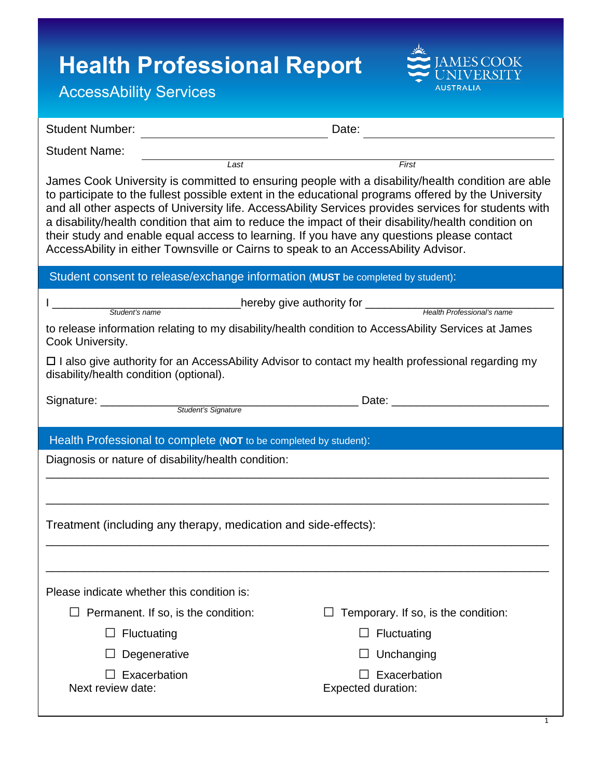# **Health Professional Report**



# AccessAbility Services

| <b>Student Number:</b>                                                                                                                                                                                                                                                                                                                                                                                                                                                                                                                                                                                                      |                                     | Date:                               |  |
|-----------------------------------------------------------------------------------------------------------------------------------------------------------------------------------------------------------------------------------------------------------------------------------------------------------------------------------------------------------------------------------------------------------------------------------------------------------------------------------------------------------------------------------------------------------------------------------------------------------------------------|-------------------------------------|-------------------------------------|--|
| <b>Student Name:</b>                                                                                                                                                                                                                                                                                                                                                                                                                                                                                                                                                                                                        |                                     |                                     |  |
| Last<br>First<br>James Cook University is committed to ensuring people with a disability/health condition are able<br>to participate to the fullest possible extent in the educational programs offered by the University<br>and all other aspects of University life. AccessAbility Services provides services for students with<br>a disability/health condition that aim to reduce the impact of their disability/health condition on<br>their study and enable equal access to learning. If you have any questions please contact<br>AccessAbility in either Townsville or Cairns to speak to an AccessAbility Advisor. |                                     |                                     |  |
| Student consent to release/exchange information (MUST be completed by student):                                                                                                                                                                                                                                                                                                                                                                                                                                                                                                                                             |                                     |                                     |  |
|                                                                                                                                                                                                                                                                                                                                                                                                                                                                                                                                                                                                                             |                                     |                                     |  |
| to release information relating to my disability/health condition to AccessAbility Services at James<br>Cook University.                                                                                                                                                                                                                                                                                                                                                                                                                                                                                                    |                                     |                                     |  |
| $\Box$ I also give authority for an AccessAbility Advisor to contact my health professional regarding my<br>disability/health condition (optional).                                                                                                                                                                                                                                                                                                                                                                                                                                                                         |                                     |                                     |  |
|                                                                                                                                                                                                                                                                                                                                                                                                                                                                                                                                                                                                                             |                                     |                                     |  |
| Health Professional to complete (NOT to be completed by student):                                                                                                                                                                                                                                                                                                                                                                                                                                                                                                                                                           |                                     |                                     |  |
| Diagnosis or nature of disability/health condition:                                                                                                                                                                                                                                                                                                                                                                                                                                                                                                                                                                         |                                     |                                     |  |
|                                                                                                                                                                                                                                                                                                                                                                                                                                                                                                                                                                                                                             |                                     |                                     |  |
|                                                                                                                                                                                                                                                                                                                                                                                                                                                                                                                                                                                                                             |                                     |                                     |  |
| Treatment (including any therapy, medication and side-effects):                                                                                                                                                                                                                                                                                                                                                                                                                                                                                                                                                             |                                     |                                     |  |
|                                                                                                                                                                                                                                                                                                                                                                                                                                                                                                                                                                                                                             |                                     |                                     |  |
|                                                                                                                                                                                                                                                                                                                                                                                                                                                                                                                                                                                                                             |                                     |                                     |  |
| Please indicate whether this condition is:                                                                                                                                                                                                                                                                                                                                                                                                                                                                                                                                                                                  |                                     |                                     |  |
|                                                                                                                                                                                                                                                                                                                                                                                                                                                                                                                                                                                                                             | Permanent. If so, is the condition: | Temporary. If so, is the condition: |  |
|                                                                                                                                                                                                                                                                                                                                                                                                                                                                                                                                                                                                                             |                                     |                                     |  |
|                                                                                                                                                                                                                                                                                                                                                                                                                                                                                                                                                                                                                             | Fluctuating                         | Fluctuating                         |  |
|                                                                                                                                                                                                                                                                                                                                                                                                                                                                                                                                                                                                                             | Degenerative                        | Unchanging                          |  |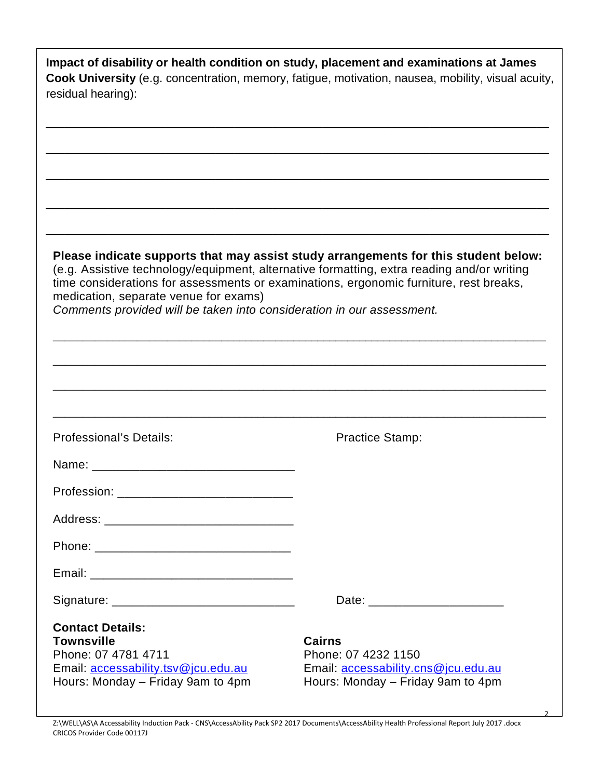| Impact of disability or health condition on study, placement and examinations at James<br>Cook University (e.g. concentration, memory, fatigue, motivation, nausea, mobility, visual acuity,<br>residual hearing):                                                                                                                                                                            |                                                                                                                  |  |  |
|-----------------------------------------------------------------------------------------------------------------------------------------------------------------------------------------------------------------------------------------------------------------------------------------------------------------------------------------------------------------------------------------------|------------------------------------------------------------------------------------------------------------------|--|--|
|                                                                                                                                                                                                                                                                                                                                                                                               |                                                                                                                  |  |  |
|                                                                                                                                                                                                                                                                                                                                                                                               |                                                                                                                  |  |  |
|                                                                                                                                                                                                                                                                                                                                                                                               |                                                                                                                  |  |  |
|                                                                                                                                                                                                                                                                                                                                                                                               |                                                                                                                  |  |  |
| Please indicate supports that may assist study arrangements for this student below:<br>(e.g. Assistive technology/equipment, alternative formatting, extra reading and/or writing<br>time considerations for assessments or examinations, ergonomic furniture, rest breaks,<br>medication, separate venue for exams)<br>Comments provided will be taken into consideration in our assessment. |                                                                                                                  |  |  |
|                                                                                                                                                                                                                                                                                                                                                                                               |                                                                                                                  |  |  |
|                                                                                                                                                                                                                                                                                                                                                                                               |                                                                                                                  |  |  |
|                                                                                                                                                                                                                                                                                                                                                                                               |                                                                                                                  |  |  |
| <b>Professional's Details:</b>                                                                                                                                                                                                                                                                                                                                                                | <b>Practice Stamp:</b>                                                                                           |  |  |
|                                                                                                                                                                                                                                                                                                                                                                                               |                                                                                                                  |  |  |
|                                                                                                                                                                                                                                                                                                                                                                                               |                                                                                                                  |  |  |
|                                                                                                                                                                                                                                                                                                                                                                                               |                                                                                                                  |  |  |
|                                                                                                                                                                                                                                                                                                                                                                                               |                                                                                                                  |  |  |
|                                                                                                                                                                                                                                                                                                                                                                                               |                                                                                                                  |  |  |
|                                                                                                                                                                                                                                                                                                                                                                                               |                                                                                                                  |  |  |
| <b>Contact Details:</b><br><b>Townsville</b><br>Phone: 07 4781 4711<br>Email: accessability.tsv@jcu.edu.au<br>Hours: Monday – Friday 9am to 4pm                                                                                                                                                                                                                                               | <b>Cairns</b><br>Phone: 07 4232 1150<br>Email: accessability.cns@jcu.edu.au<br>Hours: Monday - Friday 9am to 4pm |  |  |

Z:\WELL\AS\A Accessability Induction Pack - CNS\AccessAbility Pack SP2 2017 Documents\AccessAbility Health Professional Report July 2017 .docx CRICOS Provider Code 00117J

2